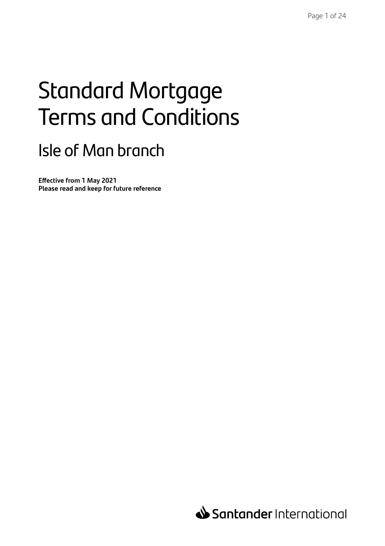# Standard Mortgage Terms and Conditions

# Isle of Man branch

**Effective from 1 May 2021 Please read and keep for future reference**

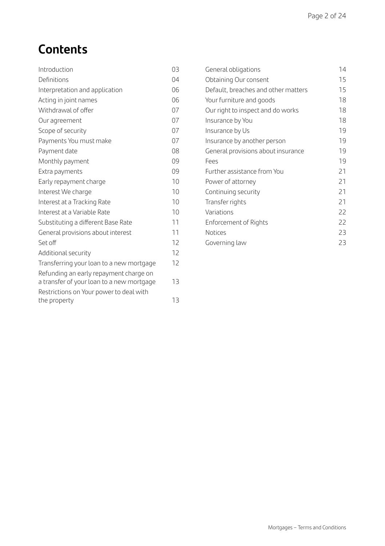# **Contents**

| Introduction                                                                        | 03 |
|-------------------------------------------------------------------------------------|----|
| Definitions                                                                         | 04 |
| Interpretation and application                                                      | 06 |
| Acting in joint names                                                               | 06 |
| Withdrawal of offer                                                                 | 07 |
| Our agreement                                                                       | 07 |
| Scope of security                                                                   | 07 |
| Payments You must make                                                              | 07 |
| Payment date                                                                        | 08 |
| Monthly payment                                                                     | 09 |
| Extra payments                                                                      | 09 |
| Early repayment charge                                                              | 10 |
| Interest We charge                                                                  | 10 |
| Interest at a Tracking Rate                                                         | 10 |
| Interest at a Variable Rate                                                         | 10 |
| Substituting a different Base Rate                                                  | 11 |
| General provisions about interest                                                   | 11 |
| Set off                                                                             | 12 |
| Additional security                                                                 | 12 |
| Transferring your loan to a new mortgage                                            | 12 |
| Refunding an early repayment charge on<br>a transfer of your loan to a new mortgage | 13 |
| Restrictions on Your power to deal with<br>the property                             | 13 |

| General obligations                 | 14 |
|-------------------------------------|----|
| Obtaining Our consent               | 15 |
| Default, breaches and other matters | 15 |
| Your furniture and goods            | 18 |
| Our right to inspect and do works   | 18 |
| Insurance by You                    | 18 |
| Insurance by Us                     | 19 |
| Insurance by another person         | 19 |
| General provisions about insurance  | 19 |
| Fees                                | 19 |
| Further assistance from You         | 21 |
| Power of attorney                   | 21 |
| Continuing security                 | 21 |
| Transfer rights                     | 21 |
| Variations                          | 22 |
| Enforcement of Rights               | 22 |
| <b>Notices</b>                      | 23 |
| Governing law                       | 23 |
|                                     |    |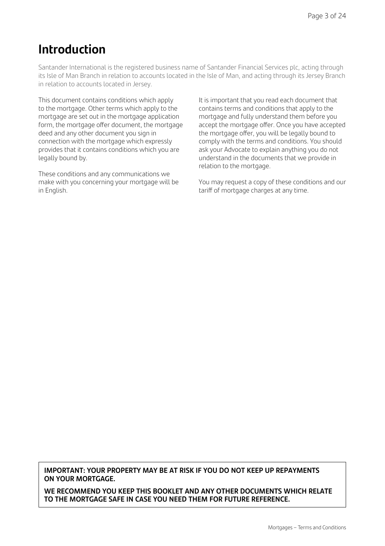## **Introduction**

Santander International is the registered business name of Santander Financial Services plc, acting through its Isle of Man Branch in relation to accounts located in the Isle of Man, and acting through its Jersey Branch in relation to accounts located in Jersey.

This document contains conditions which apply to the mortgage. Other terms which apply to the mortgage are set out in the mortgage application form, the mortgage offer document, the mortgage deed and any other document you sign in connection with the mortgage which expressly provides that it contains conditions which you are legally bound by.

These conditions and any communications we make with you concerning your mortgage will be in English.

It is important that you read each document that contains terms and conditions that apply to the mortgage and fully understand them before you accept the mortgage offer. Once you have accepted the mortgage offer, you will be legally bound to comply with the terms and conditions. You should ask your Advocate to explain anything you do not understand in the documents that we provide in relation to the mortgage.

You may request a copy of these conditions and our tariff of mortgage charges at any time.

**IMPORTANT: YOUR PROPERTY MAY BE AT RISK IF YOU DO NOT KEEP UP REPAYMENTS ON YOUR MORTGAGE.** 

**WE RECOMMEND YOU KEEP THIS BOOKLET AND ANY OTHER DOCUMENTS WHICH RELATE TO THE MORTGAGE SAFE IN CASE YOU NEED THEM FOR FUTURE REFERENCE.**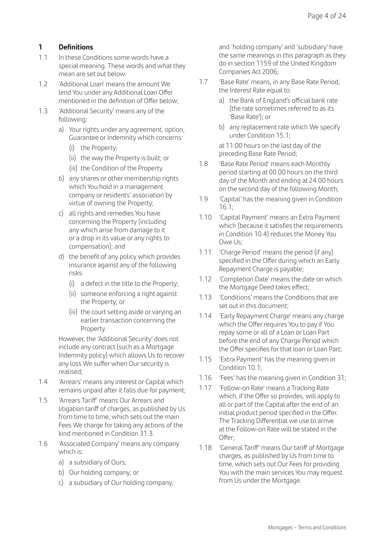#### **1 Definitions**

- 1.1 In these Conditions some words have a special meaning. These words and what they mean are set out below:
- 1.2 'Additional Loan' means the amount We lend You under any Additional Loan Offer mentioned in the definition of Offer below;
- 1.3 'Additional Security' means any of the following:
	- a) Your rights under any agreement, option, Guarantee or Indemnity which concerns:
		- (i) the Property;
		- (ii) the way the Property is built; or
		- (iii) the Condition of the Property.
	- b) any shares or other membership rights which You hold in a management company or residents' association by virtue of owning the Property;
	- c) all rights and remedies You have concerning the Property (including any which arise from damage to it or a drop in its value or any rights to compensation); and
	- d) the benefit of any policy which provides insurance against any of the following risks:
		- (i) a defect in the title to the Property;
		- (ii) someone enforcing a right against the Property; or
		- (iii) the court setting aside or varying an earlier transaction concerning the Property.

 However, the 'Additional Security' does not include any contract (such as a Mortgage Indemnity policy) which allows Us to recover any loss We suffer when Our security is realised;

- 1.4 'Arrears' means any interest or Capital which remains unpaid after it falls due for payment;
- 1.5 'Arrears Tariff' means Our Arrears and litigation tariff of charges, as published by Us from time to time, which sets out the main Fees We charge for taking any actions of the kind mentioned in Condition 31.3.
- 1.6 'Associated Company' means any company which is:
	- a) a subsidiary of Ours;
	- b) Our holding company; or
	- c) a subsidiary of Our holding company;

 and 'holding company' and 'subsidiary' have the same meanings in this paragraph as they do in section 1159 of the United Kingdom Companies Act 2006;

- 1.7 'Base Rate' means, in any Base Rate Period, the Interest Rate equal to:
	- a) the Bank of England's official bank rate (the rate sometimes referred to as its 'Base Rate'); or
	- b) any replacement rate which We specify under Condition 15.1;

 at 11:00 hours on the last day of the preceding Base Rate Period;

- 1.8 'Base Rate Period' means each Monthly period starting at 00.00 hours on the third day of the Month and ending at 24.00 hours on the second day of the following Month;
- 1.9 'Capital' has the meaning given in Condition 16.1;
- 1.10 'Capital Payment' means an Extra Payment which (because it satisfies the requirements in Condition 10.4) reduces the Money You Owe Us;
- 1.11 'Charge Period' means the period (if any) specified in the Offer during which an Early Repayment Charge is payable;
- 1.12 'Completion Date' means the date on which the Mortgage Deed takes effect:
- 1.13 'Conditions' means the Conditions that are set out in this document;
- 1.14 'Early Repayment Charge' means any charge which the Offer requires You to pay if You repay some or all of a Loan or Loan Part before the end of any Charge Period which the Offer specifies for that loan or Loan Part;
- 1.15 'Extra Payment' has the meaning given in Condition 10.1;
- 1.16 'Fees' has the meaning given in Condition 31;
- 1.17 'Follow-on Rate' means a Tracking Rate which, if the Offer so provides, will apply to all or part of the Capital after the end of an initial product period specified in the Offer. The Tracking Differential we use to arrive at the Follow-on Rate will be stated in the Offer;
- 1.18 'General Tariff' means Our tariff of Mortgage charges, as published by Us from time to time, which sets out Our Fees for providing You with the main services You may request from Us under the Mortgage.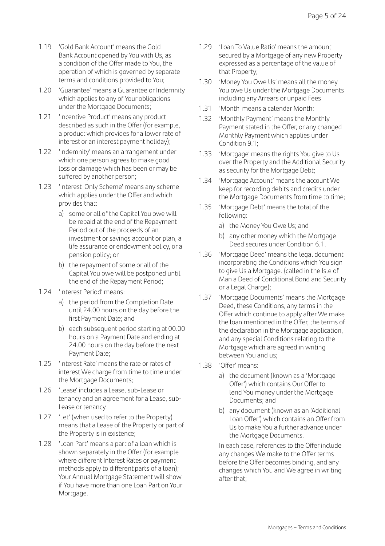- 1.19 'Gold Bank Account' means the Gold Bank Account opened by You with Us, as a condition of the Offer made to You, the operation of which is governed by separate terms and conditions provided to You;
- 1.20 'Guarantee' means a Guarantee or Indemnity which applies to any of Your obligations under the Mortgage Documents;
- 1.21 'Incentive Product' means any product described as such in the Offer (for example, a product which provides for a lower rate of interest or an interest payment holiday);
- 1.22 'Indemnity' means an arrangement under which one person agrees to make good loss or damage which has been or may be suffered by another person;
- 1.23 'Interest-Only Scheme' means any scheme which applies under the Offer and which provides that:
	- a) some or all of the Capital You owe will be repaid at the end of the Repayment Period out of the proceeds of an investment or savings account or plan, a life assurance or endowment policy, or a pension policy; or
	- b) the repayment of some or all of the Capital You owe will be postponed until the end of the Repayment Period;
- 1.24 'Interest Period' means:
	- a) the period from the Completion Date until 24.00 hours on the day before the first Payment Date; and
	- b) each subsequent period starting at 00.00 hours on a Payment Date and ending at 24.00 hours on the day before the next Payment Date;
- 1.25 'Interest Rate' means the rate or rates of interest We charge from time to time under the Mortgage Documents;
- 1.26 'Lease' includes a Lease, sub-Lease or tenancy and an agreement for a Lease, sub-Lease or tenancy.
- 1.27 'Let' (when used to refer to the Property) means that a Lease of the Property or part of the Property is in existence;
- 1.28 'Loan Part' means a part of a loan which is shown separately in the Offer (for example where different Interest Rates or payment methods apply to different parts of a loan); Your Annual Mortgage Statement will show if You have more than one Loan Part on Your Mortgage.
- 1.29 'Loan To Value Ratio' means the amount secured by a Mortgage of any new Property expressed as a percentage of the value of that Property;
- 1.30 'Money You Owe Us' means all the money You owe Us under the Mortgage Documents including any Arrears or unpaid Fees
- 1.31 'Month' means a calendar Month;
- 1.32 'Monthly Payment' means the Monthly Payment stated in the Offer, or any changed Monthly Payment which applies under Condition 9.1;
- 1.33 'Mortgage' means the rights You give to Us over the Property and the Additional Security as security for the Mortgage Debt;
- 1.34 'Mortgage Account' means the account We keep for recording debits and credits under the Mortgage Documents from time to time;
- 1.35 'Mortgage Debt' means the total of the following:
	- a) the Money You Owe Us; and
	- b) any other money which the Mortgage Deed secures under Condition 6.1.
- 1.36 'Mortgage Deed' means the legal document incorporating the Conditions which You sign to give Us a Mortgage. (called in the Isle of Man a Deed of Conditional Bond and Security or a Legal Charge);
- 1.37 'Mortgage Documents' means the Mortgage Deed, these Conditions, any terms in the Offer which continue to apply after We make the loan mentioned in the Offer, the terms of the declaration in the Mortgage application, and any special Conditions relating to the Mortgage which are agreed in writing between You and us;
- 1.38 'Offer' means:
	- a) the document (known as a 'Mortgage Offer') which contains Our Offer to lend You money under the Mortgage Documents; and
	- b) any document (known as an 'Additional Loan Offer') which contains an Offer from Us to make You a further advance under the Mortgage Documents.

 In each case, references to the Offer include any changes We make to the Offer terms before the Offer becomes binding, and any changes which You and We agree in writing after that;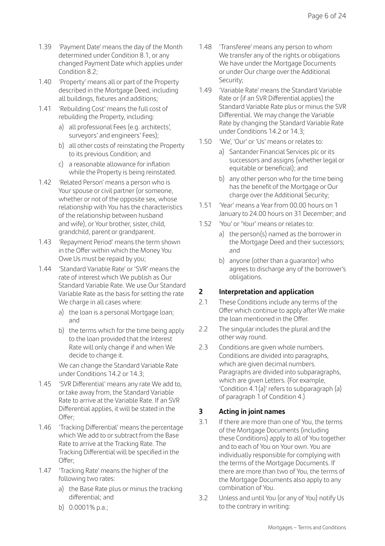- 1.39 'Payment Date' means the day of the Month determined under Condition 8.1, or any changed Payment Date which applies under Condition 8.2;
- 1.40 'Property' means all or part of the Property described in the Mortgage Deed, including all buildings, fixtures and additions;
- 1.41 'Rebuilding Cost' means the full cost of rebuilding the Property, including:
	- a) all professional Fees (e.g. architects', surveyors' and engineers' Fees);
	- b) all other costs of reinstating the Property to its previous Condition; and
	- c) a reasonable allowance for inflation while the Property is being reinstated.
- 1.42 'Related Person' means a person who is Your spouse or civil partner (or someone, whether or not of the opposite sex, whose relationship with You has the characteristics of the relationship between husband and wife), or Your brother, sister, child, grandchild, parent or grandparent.
- 1.43 'Repayment Period' means the term shown in the Offer within which the Money You Owe Us must be repaid by you;
- 1.44 'Standard Variable Rate' or 'SVR' means the rate of interest which We publish as Our Standard Variable Rate. We use Our Standard Variable Rate as the basis for setting the rate We charge in all cases where:
	- a) the loan is a personal Mortgage loan; and
	- b) the terms which for the time being apply to the loan provided that the Interest Rate will only change if and when We decide to change it.

 We can change the Standard Variable Rate under Conditions 14.2 or 14.3;

- 1.45 'SVR Differential' means any rate We add to, or take away from, the Standard Variable Rate to arrive at the Variable Rate. If an SVR Differential applies, it will be stated in the Offer;
- 1.46 'Tracking Differential' means the percentage which We add to or subtract from the Base Rate to arrive at the Tracking Rate. The Tracking Differential will be specified in the Offer;
- 1.47 'Tracking Rate' means the higher of the following two rates:
	- a) the Base Rate plus or minus the tracking differential; and
	- b) 0.0001% p.a.;
- 1.48 'Transferee' means any person to whom We transfer any of the rights or obligations We have under the Mortgage Documents or under Our charge over the Additional Security;
- 1.49 'Variable Rate' means the Standard Variable Rate or (if an SVR Differential applies) the Standard Variable Rate plus or minus the SVR Differential. We may change the Variable Rate by changing the Standard Variable Rate under Conditions 14.2 or 14.3;
- 1.50 'We', 'Our' or 'Us' means or relates to:
	- a) Santander Financial Services plc or its successors and assigns (whether legal or equitable or beneficial); and
	- b) any other person who for the time being has the benefit of the Mortgage or Our charge over the Additional Security;
- 1.51 'Year' means a Year from 00.00 hours on 1 January to 24.00 hours on 31 December; and
- 1.52 'You' or 'Your' means or relates to:
	- a) the person(s) named as the borrower in the Mortgage Deed and their successors; and
	- b) anyone (other than a guarantor) who agrees to discharge any of the borrower's obligations.

#### **2 Interpretation and application**

- 2.1 These Conditions include any terms of the Offer which continue to apply after We make the loan mentioned in the Offer.
- 2.2 The singular includes the plural and the other way round.
- 2.3 Conditions are given whole numbers. Conditions are divided into paragraphs, which are given decimal numbers. Paragraphs are divided into subparagraphs, which are given Letters. (For example, 'Condition 4.1(a)' refers to subparagraph (a) of paragraph 1 of Condition 4.)

#### **3 Acting in joint names**

- 3.1 If there are more than one of You, the terms of the Mortgage Documents (including these Conditions) apply to all of You together and to each of You on Your own. You are individually responsible for complying with the terms of the Mortgage Documents. If there are more than two of You, the terms of the Mortgage Documents also apply to any combination of You.
- 3.2 Unless and until You (or any of You) notify Us to the contrary in writing: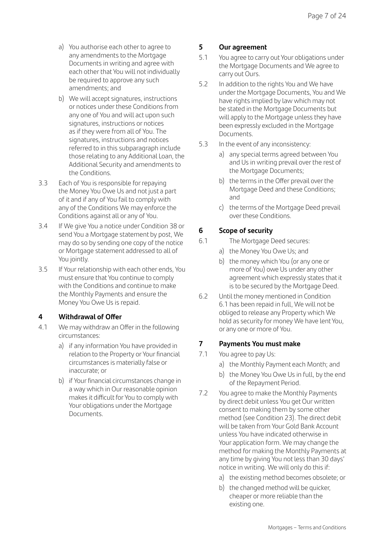- a) You authorise each other to agree to any amendments to the Mortgage Documents in writing and agree with each other that You will not individually be required to approve any such amendments; and
- b) We will accept signatures, instructions or notices under these Conditions from any one of You and will act upon such signatures, instructions or notices as if they were from all of You. The signatures, instructions and notices referred to in this subparagraph include those relating to any Additional Loan, the Additional Security and amendments to the Conditions.
- 3.3 Each of You is responsible for repaying the Money You Owe Us and not just a part of it and if any of You fail to comply with any of the Conditions We may enforce the Conditions against all or any of You.
- 3.4 If We give You a notice under Condition 38 or send You a Mortgage statement by post, We may do so by sending one copy of the notice or Mortgage statement addressed to all of You jointly.
- 3.5 If Your relationship with each other ends, You must ensure that You continue to comply with the Conditions and continue to make the Monthly Payments and ensure the Money You Owe Us is repaid.

#### **4 Withdrawal of Offer**

- 4.1 We may withdraw an Offer in the following circumstances:
	- a) if any information You have provided in relation to the Property or Your financial circumstances is materially false or inaccurate; or
	- b) if Your financial circumstances change in a way which in Our reasonable opinion makes it difficult for You to comply with Your obligations under the Mortgage Documents.

#### **5 Our agreement**

- 5.1 You agree to carry out Your obligations under the Mortgage Documents and We agree to carry out Ours.
- 5.2 In addition to the rights You and We have under the Mortgage Documents, You and We have rights implied by law which may not be stated in the Mortgage Documents but will apply to the Mortgage unless they have been expressly excluded in the Mortgage Documents.
- 5.3 In the event of any inconsistency:
	- a) any special terms agreed between You and Us in writing prevail over the rest of the Mortgage Documents;
	- b) the terms in the Offer prevail over the Mortgage Deed and these Conditions; and
	- c) the terms of the Mortgage Deed prevail over these Conditions.

#### **6 Scope of security**

- 6.1 The Mortgage Deed secures:
	- a) the Money You Owe Us; and
	- b) the money which You (or any one or more of You) owe Us under any other agreement which expressly states that it is to be secured by the Mortgage Deed.
- 6.2 Until the money mentioned in Condition 6.1 has been repaid in full, We will not be obliged to release any Property which We hold as security for money We have lent You, or any one or more of You.

#### **7 Payments You must make**

- 7.1 You agree to pay Us:
	- a) the Monthly Payment each Month; and
	- b) the Money You Owe Us in full, by the end of the Repayment Period.
- 7.2 You agree to make the Monthly Payments by direct debit unless You get Our written consent to making them by some other method (see Condition 23). The direct debit will be taken from Your Gold Bank Account unless You have indicated otherwise in Your application form. We may change the method for making the Monthly Payments at any time by giving You not less than 30 days' notice in writing. We will only do this if:
	- a) the existing method becomes obsolete; or
	- b) the changed method will be quicker. cheaper or more reliable than the existing one.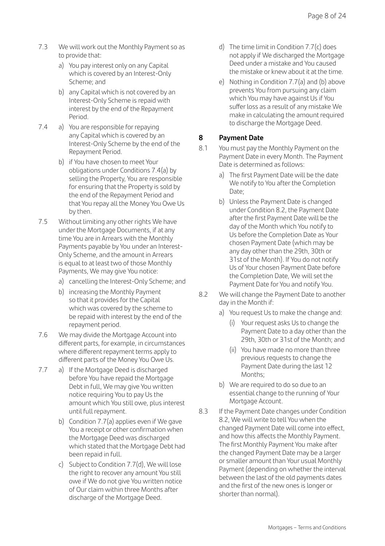- 7.3 We will work out the Monthly Payment so as to provide that:
	- a) You pay interest only on any Capital which is covered by an Interest-Only Scheme; and
	- b) any Capital which is not covered by an Interest-Only Scheme is repaid with interest by the end of the Repayment Period.
- 7.4 a) You are responsible for repaying any Capital which is covered by an Interest-Only Scheme by the end of the Repayment Period.
	- b) if You have chosen to meet Your obligations under Conditions 7.4(a) by selling the Property, You are responsible for ensuring that the Property is sold by the end of the Repayment Period and that You repay all the Money You Owe Us by then.
- 7.5 Without limiting any other rights We have under the Mortgage Documents, if at any time You are in Arrears with the Monthly Payments payable by You under an Interest-Only Scheme, and the amount in Arrears is equal to at least two of those Monthly Payments, We may give You notice:
	- a) cancelling the Interest-Only Scheme; and
	- b) increasing the Monthly Payment so that it provides for the Capital which was covered by the scheme to be repaid with interest by the end of the repayment period.
- 7.6 We may divide the Mortgage Account into different parts, for example, in circumstances where different repayment terms apply to different parts of the Money You Owe Us.
- 7.7 a) If the Mortgage Deed is discharged before You have repaid the Mortgage Debt in full, We may give You written notice requiring You to pay Us the amount which You still owe, plus interest until full repayment.
	- b) Condition 7.7(a) applies even if We gave You a receipt or other confirmation when the Mortgage Deed was discharged which stated that the Mortgage Debt had been repaid in full.
	- c) Subject to Condition 7.7(d), We will lose the right to recover any amount You still owe if We do not give You written notice of Our claim within three Months after discharge of the Mortgage Deed.
- d) The time limit in Condition 7.7(c) does not apply if We discharged the Mortgage Deed under a mistake and You caused the mistake or knew about it at the time.
- e) Nothing in Condition 7.7(a) and (b) above prevents You from pursuing any claim which You may have against Us if You suffer loss as a result of any mistake We make in calculating the amount required to discharge the Mortgage Deed.

#### **8 Payment Date**

- 8.1 You must pay the Monthly Payment on the Payment Date in every Month. The Payment Date is determined as follows:
	- a) The first Payment Date will be the date We notify to You after the Completion Date:
	- b) Unless the Payment Date is changed under Condition 8.2, the Payment Date after the first Payment Date will be the day of the Month which You notify to Us before the Completion Date as Your chosen Payment Date (which may be any day other than the 29th, 30th or 31st of the Month). If You do not notify Us of Your chosen Payment Date before the Completion Date, We will set the Payment Date for You and notify You.
- 8.2 We will change the Payment Date to another day in the Month if:
	- a) You request Us to make the change and:
		- (i) Your request asks Us to change the Payment Date to a day other than the 29th, 30th or 31st of the Month; and
		- (ii) You have made no more than three previous requests to change the Payment Date during the last 12 Months;
	- b) We are required to do so due to an essential change to the running of Your Mortgage Account.
- 8.3 If the Payment Date changes under Condition 8.2, We will write to tell You when the changed Payment Date will come into effect, and how this affects the Monthly Payment. The first Monthly Payment You make after the changed Payment Date may be a larger or smaller amount than Your usual Monthly Payment (depending on whether the interval between the last of the old payments dates and the first of the new ones is longer or shorter than normal).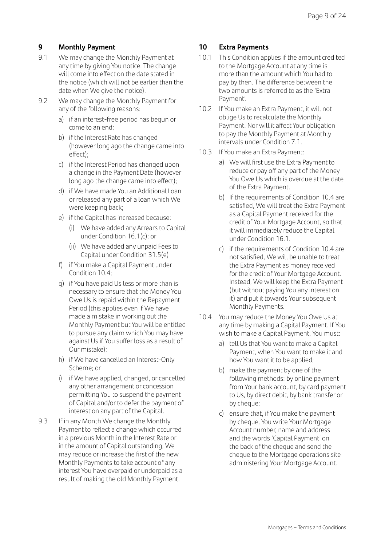#### **9 Monthly Payment**

- 9.1 We may change the Monthly Payment at any time by giving You notice. The change will come into effect on the date stated in the notice (which will not be earlier than the date when We give the notice).
- 9.2 We may change the Monthly Payment for any of the following reasons:
	- a) if an interest-free period has begun or come to an end;
	- b) if the Interest Rate has changed (however long ago the change came into effect);
	- c) if the Interest Period has changed upon a change in the Payment Date (however long ago the change came into effect);
	- d) if We have made You an Additional Loan or released any part of a loan which We were keeping back;
	- e) if the Capital has increased because:
		- (i) We have added any Arrears to Capital under Condition 16.1(c); or
		- (ii) We have added any unpaid Fees to Capital under Condition 31.5(e)
	- f) if You make a Capital Payment under Condition 10.4;
	- g) if You have paid Us less or more than is necessary to ensure that the Money You Owe Us is repaid within the Repayment Period (this applies even if We have made a mistake in working out the Monthly Payment but You will be entitled to pursue any claim which You may have against Us if You suffer loss as a result of Our mistake);
	- h) if We have cancelled an Interest-Only Scheme; or
	- i) if We have applied, changed, or cancelled any other arrangement or concession permitting You to suspend the payment of Capital and/or to defer the payment of interest on any part of the Capital.
- 9.3 If in any Month We change the Monthly Payment to reflect a change which occurred in a previous Month in the Interest Rate or in the amount of Capital outstanding, We may reduce or increase the first of the new Monthly Payments to take account of any interest You have overpaid or underpaid as a result of making the old Monthly Payment.

#### **10 Extra Payments**

- 10.1 This Condition applies if the amount credited to the Mortgage Account at any time is more than the amount which You had to pay by then. The difference between the two amounts is referred to as the 'Extra Payment'.
- 10.2 If You make an Extra Payment, it will not oblige Us to recalculate the Monthly Payment. Nor will it affect Your obligation to pay the Monthly Payment at Monthly intervals under Condition 7.1.
- 10.3 If You make an Extra Payment:
	- a) We will first use the Extra Payment to reduce or pay off any part of the Money You Owe Us which is overdue at the date of the Extra Payment.
	- b) If the requirements of Condition 10.4 are satisfied, We will treat the Extra Payment as a Capital Payment received for the credit of Your Mortgage Account, so that it will immediately reduce the Capital under Condition 16.1.
	- c) if the requirements of Condition 10.4 are not satisfied, We will be unable to treat the Extra Payment as money received for the credit of Your Mortgage Account. Instead, We will keep the Extra Payment (but without paying You any interest on it) and put it towards Your subsequent Monthly Payments.
- 10.4 You may reduce the Money You Owe Us at any time by making a Capital Payment. If You wish to make a Capital Payment, You must:
	- a) tell Us that You want to make a Capital Payment, when You want to make it and how You want it to be applied;
	- b) make the payment by one of the following methods: by online payment from Your bank account, by card payment to Us, by direct debit, by bank transfer or by cheque;
	- c) ensure that, if You make the payment by cheque, You write Your Mortgage Account number, name and address and the words 'Capital Payment' on the back of the cheque and send the cheque to the Mortgage operations site administering Your Mortgage Account.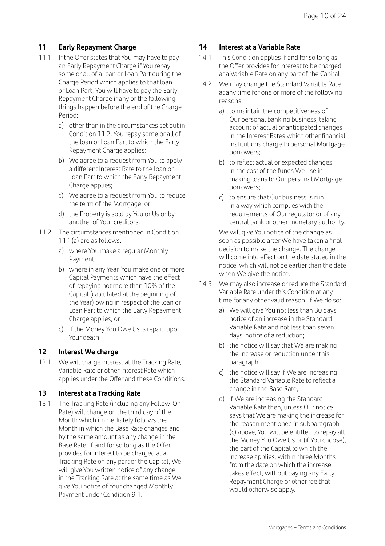#### **11 Early Repayment Charge**

- 11.1 If the Offer states that You may have to pay an Early Repayment Charge if You repay some or all of a loan or Loan Part during the Charge Period which applies to that loan or Loan Part, You will have to pay the Early Repayment Charge if any of the following things happen before the end of the Charge Period:
	- a) other than in the circumstances set out in Condition 11.2, You repay some or all of the loan or Loan Part to which the Early Repayment Charge applies;
	- b) We agree to a request from You to apply a different Interest Rate to the loan or Loan Part to which the Early Repayment Charge applies:
	- c) We agree to a request from You to reduce the term of the Mortgage; or
	- d) the Property is sold by You or Us or by another of Your creditors.
- 11.2 The circumstances mentioned in Condition 11.1(a) are as follows:
	- a) where You make a regular Monthly Payment;
	- b) where in any Year, You make one or more Capital Payments which have the effect of repaying not more than 10% of the Capital (calculated at the beginning of the Year) owing in respect of the loan or Loan Part to which the Early Repayment Charge applies; or
	- c) if the Money You Owe Us is repaid upon Your death.

#### **12 Interest We charge**

12.1 We will charge interest at the Tracking Rate, Variable Rate or other Interest Rate which applies under the Offer and these Conditions.

#### **13 Interest at a Tracking Rate**

13.1 The Tracking Rate (including any Follow-On Rate) will change on the third day of the Month which immediately follows the Month in which the Base Rate changes and by the same amount as any change in the Base Rate. If and for so long as the Offer provides for interest to be charged at a Tracking Rate on any part of the Capital, We will give You written notice of any change in the Tracking Rate at the same time as We give You notice of Your changed Monthly Payment under Condition 9.1.

#### **14 Interest at a Variable Rate**

- 14.1 This Condition applies if and for so long as the Offer provides for interest to be charged at a Variable Rate on any part of the Capital.
- 14.2 We may change the Standard Variable Rate at any time for one or more of the following reasons:
	- a) to maintain the competitiveness of Our personal banking business, taking account of actual or anticipated changes in the Interest Rates which other financial institutions charge to personal Mortgage borrowers;
	- b) to reflect actual or expected changes in the cost of the funds We use in making loans to Our personal Mortgage borrowers;
	- c) to ensure that Our business is run in a way which complies with the requirements of Our regulator or of any central bank or other monetary authority.

We will give You notice of the change as soon as possible after We have taken a final decision to make the change. The change will come into effect on the date stated in the notice, which will not be earlier than the date when We give the notice.

- 14.3 We may also increase or reduce the Standard Variable Rate under this Condition at any time for any other valid reason. If We do so:
	- a) We will give You not less than 30 days' notice of an increase in the Standard Variable Rate and not less than seven days' notice of a reduction;
	- b) the notice will say that We are making the increase or reduction under this paragraph;
	- c) the notice will say if We are increasing the Standard Variable Rate to reflect a change in the Base Rate;
	- d) if We are increasing the Standard Variable Rate then, unless Our notice says that We are making the increase for the reason mentioned in subparagraph (c) above, You will be entitled to repay all the Money You Owe Us or (if You choose), the part of the Capital to which the increase applies, within three Months from the date on which the increase takes effect, without paying any Early Repayment Charge or other fee that would otherwise apply.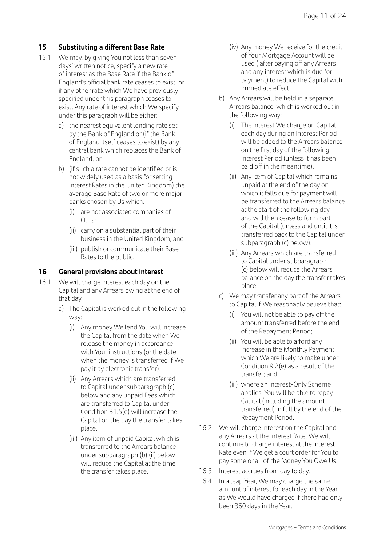#### **15 Substituting a different Base Rate**

- 15.1 We may, by giving You not less than seven days' written notice, specify a new rate of interest as the Base Rate if the Bank of England's official bank rate ceases to exist, or if any other rate which We have previously specified under this paragraph ceases to exist. Any rate of interest which We specify under this paragraph will be either:
	- a) the nearest equivalent lending rate set by the Bank of England or (if the Bank of England itself ceases to exist) by any central bank which replaces the Bank of England; or
	- b) (if such a rate cannot be identified or is not widely used as a basis for setting Interest Rates in the United Kingdom) the average Base Rate of two or more major banks chosen by Us which:
		- (i) are not associated companies of Ours;
		- (ii) carry on a substantial part of their business in the United Kingdom; and
		- (iii) publish or communicate their Base Rates to the public.

#### **16 General provisions about interest**

- 16.1 We will charge interest each day on the Capital and any Arrears owing at the end of that day.
	- a) The Capital is worked out in the following way:
		- (i) Any money We lend You will increase the Capital from the date when We release the money in accordance with Your instructions (or the date when the money is transferred if We pay it by electronic transfer).
		- (ii) Any Arrears which are transferred to Capital under subparagraph (c) below and any unpaid Fees which are transferred to Capital under Condition 31.5(e) will increase the Capital on the day the transfer takes place.
		- (iii) Any item of unpaid Capital which is transferred to the Arrears balance under subparagraph (b) (ii) below will reduce the Capital at the time the transfer takes place.
- (iv) Any money We receive for the credit of Your Mortgage Account will be used ( after paying off any Arrears and any interest which is due for payment) to reduce the Capital with immediate effect.
- b) Any Arrears will be held in a separate Arrears balance, which is worked out in the following way:
	- (i) The interest We charge on Capital each day during an Interest Period will be added to the Arrears balance on the first day of the following Interest Period (unless it has been paid off in the meantime).
	- (ii) Any item of Capital which remains unpaid at the end of the day on which it falls due for payment will be transferred to the Arrears balance at the start of the following day and will then cease to form part of the Capital (unless and until it is transferred back to the Capital under subparagraph (c) below).
	- (iii) Any Arrears which are transferred to Capital under subparagraph (c) below will reduce the Arrears balance on the day the transfer takes place.
- c) We may transfer any part of the Arrears to Capital if We reasonably believe that:
	- (i) You will not be able to pay off the amount transferred before the end of the Repayment Period;
	- (ii) You will be able to afford any increase in the Monthly Payment which We are likely to make under Condition 9.2(e) as a result of the transfer; and
	- (iii) where an Interest-Only Scheme applies, You will be able to repay Capital (including the amount transferred) in full by the end of the Repayment Period.
- 16.2 We will charge interest on the Capital and any Arrears at the Interest Rate. We will continue to charge interest at the Interest Rate even if We get a court order for You to pay some or all of the Money You Owe Us.
- 16.3 Interest accrues from day to day.
- 16.4 In a leap Year, We may charge the same amount of interest for each day in the Year as We would have charged if there had only been 360 days in the Year.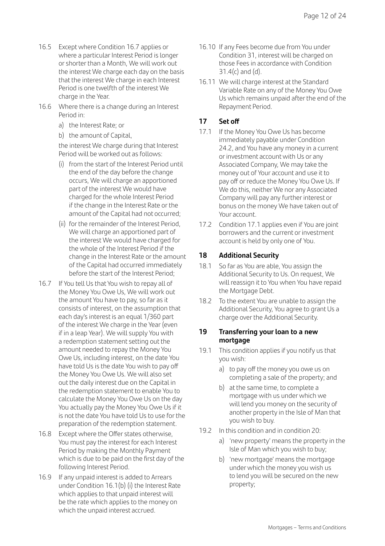- 16.5 Except where Condition 16.7 applies or where a particular Interest Period is longer or shorter than a Month, We will work out the interest We charge each day on the basis that the interest We charge in each Interest Period is one twelfth of the interest We charge in the Year.
- 16.6 Where there is a change during an Interest Period in:
	- a) the Interest Rate; or
	- b) the amount of Capital,

 the interest We charge during that Interest Period will be worked out as follows:

- (i) from the start of the Interest Period until the end of the day before the change occurs, We will charge an apportioned part of the interest We would have charged for the whole Interest Period if the change in the Interest Rate or the amount of the Capital had not occurred;
- (ii) for the remainder of the Interest Period, We will charge an apportioned part of the interest We would have charged for the whole of the Interest Period if the change in the Interest Rate or the amount of the Capital had occurred immediately before the start of the Interest Period;
- 16.7 If You tell Us that You wish to repay all of the Money You Owe Us, We will work out the amount You have to pay, so far as it consists of interest, on the assumption that each day's interest is an equal 1/360 part of the interest We charge in the Year (even if in a leap Year). We will supply You with a redemption statement setting out the amount needed to repay the Money You Owe Us, including interest, on the date You have told Us is the date You wish to pay off the Money You Owe Us. We will also set out the daily interest due on the Capital in the redemption statement to enable You to calculate the Money You Owe Us on the day You actually pay the Money You Owe Us if it is not the date You have told Us to use for the preparation of the redemption statement.
- 16.8 Except where the Offer states otherwise, You must pay the interest for each Interest Period by making the Monthly Payment which is due to be paid on the first day of the following Interest Period.
- 16.9 If any unpaid interest is added to Arrears under Condition 16.1(b) (i) the Interest Rate which applies to that unpaid interest will be the rate which applies to the money on which the unpaid interest accrued.
- 16.10 If any Fees become due from You under Condition 31, interest will be charged on those Fees in accordance with Condition  $31.4(c)$  and  $(d)$ .
- 16.11 We will charge interest at the Standard Variable Rate on any of the Money You Owe Us which remains unpaid after the end of the Repayment Period.

#### **17 Set off**

- 17.1 If the Money You Owe Us has become immediately payable under Condition 24.2, and You have any money in a current or investment account with Us or any Associated Company, We may take the money out of Your account and use it to pay off or reduce the Money You Owe Us. If We do this, neither We nor any Associated Company will pay any further interest or bonus on the money We have taken out of Your account.
- 17.2 Condition 17.1 applies even if You are joint borrowers and the current or investment account is held by only one of You.

#### **18 Additional Security**

- 18.1 So far as You are able, You assign the Additional Security to Us. On request, We will reassign it to You when You have repaid the Mortgage Debt.
- 18.2 To the extent You are unable to assign the Additional Security, You agree to grant Us a charge over the Additional Security.

#### **19 Transferring your loan to a new mortgage**

- 19.1 This condition applies if you notify us that you wish:
	- a) to pay off the money you owe us on completing a sale of the property; and
	- b) at the same time, to complete a mortgage with us under which we will lend you money on the security of another property in the Isle of Man that you wish to buy.
- 19.2 In this condition and in condition 20:
	- a) 'new property' means the property in the Isle of Man which you wish to buy;
	- b) 'new mortgage' means the mortgage under which the money you wish us to lend you will be secured on the new property;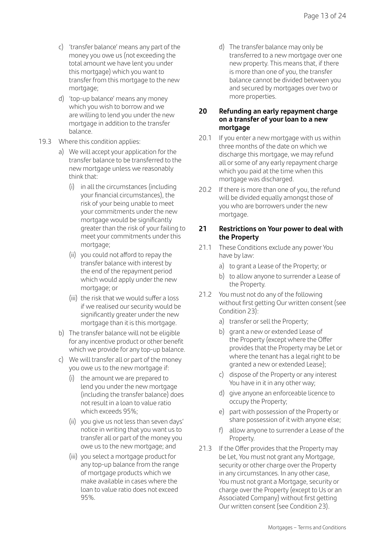- c) 'transfer balance' means any part of the money you owe us (not exceeding the total amount we have lent you under this mortgage) which you want to transfer from this mortgage to the new mortgage;
- d) 'top-up balance' means any money which you wish to borrow and we are willing to lend you under the new mortgage in addition to the transfer balance.

#### 19.3 Where this condition applies:

- a) We will accept your application for the transfer balance to be transferred to the new mortgage unless we reasonably think that:
	- (i) in all the circumstances (including your financial circumstances), the risk of your being unable to meet your commitments under the new mortgage would be significantly greater than the risk of your failing to meet your commitments under this mortgage;
	- (ii) you could not afford to repay the transfer balance with interest by the end of the repayment period which would apply under the new mortgage; or
	- (iii) the risk that we would suffer a loss if we realised our security would be significantly greater under the new mortgage than it is this mortgage.
- b) The transfer balance will not be eligible for any incentive product or other benefit which we provide for any top-up balance.
- c) We will transfer all or part of the money you owe us to the new mortgage if:
	- (i) the amount we are prepared to lend you under the new mortgage (including the transfer balance) does not result in a loan to value ratio which exceeds 95%;
	- (ii) you give us not less than seven days' notice in writing that you want us to transfer all or part of the money you owe us to the new mortgage; and
	- (iii) you select a mortgage product for any top-up balance from the range of mortgage products which we make available in cases where the loan to value ratio does not exceed 95%.

 d) The transfer balance may only be transferred to a new mortgage over one new property. This means that, if there is more than one of you, the transfer balance cannot be divided between you and secured by mortgages over two or more properties.

#### **20 Refunding an early repayment charge on a transfer of your loan to a new mortgage**

- 20.1 If you enter a new mortgage with us within three months of the date on which we discharge this mortgage, we may refund all or some of any early repayment charge which you paid at the time when this mortgage was discharged.
- 20.2 If there is more than one of you, the refund will be divided equally amongst those of you who are borrowers under the new mortgage.

#### **21 Restrictions on Your power to deal with the Property**

- 21.1 These Conditions exclude any power You have by law:
	- a) to grant a Lease of the Property; or
	- b) to allow anyone to surrender a Lease of the Property.
- 21.2 You must not do any of the following without first getting Our written consent (see Condition 23):
	- a) transfer or sell the Property;
	- b) grant a new or extended Lease of the Property (except where the Offer provides that the Property may be Let or where the tenant has a legal right to be granted a new or extended Lease);
	- c) dispose of the Property or any interest You have in it in any other way;
	- d) give anyone an enforceable licence to occupy the Property;
	- e) part with possession of the Property or share possession of it with anyone else;
	- f) allow anyone to surrender a Lease of the Property.
- 21.3 If the Offer provides that the Property may be Let, You must not grant any Mortgage, security or other charge over the Property in any circumstances. In any other case, You must not grant a Mortgage, security or charge over the Property (except to Us or an Associated Company) without first getting Our written consent (see Condition 23).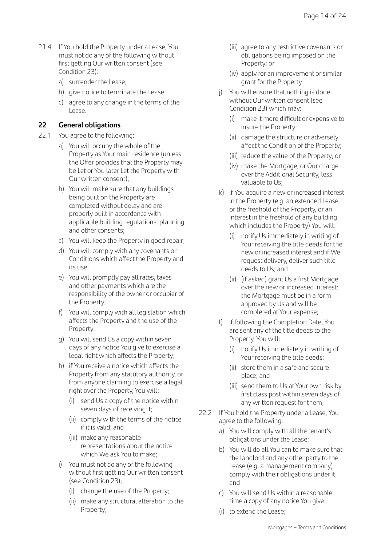- 21.4 If You hold the Property under a Lease, You must not do any of the following without first getting Our written consent (see Condition 23):
	- a) surrender the Lease;
	- b) give notice to terminate the Lease.
	- c) agree to any change in the terms of the Lease.

#### **22 General obligations**

- 22.1 You agree to the following:
	- a) You will occupy the whole of the Property as Your main residence (unless the Offer provides that the Property may be Let or You later Let the Property with Our written consent);
	- b) You will make sure that any buildings being built on the Property are completed without delay and are properly built in accordance with applicable building regulations, planning and other consents;
	- c) You will keep the Property in good repair;
	- d) You will comply with any covenants or Conditions which affect the Property and its use;
	- e) You will promptly pay all rates, taxes and other payments which are the responsibility of the owner or occupier of the Property;
	- f) You will comply with all legislation which affects the Property and the use of the Property;
	- g) You will send Us a copy within seven days of any notice You give to exercise a legal right which affects the Property;
	- h) if You receive a notice which affects the Property from any statutory authority, or from anyone claiming to exercise a legal right over the Property, You will:
		- (i) send Us a copy of the notice within seven days of receiving it;
		- (ii) comply with the terms of the notice if it is valid; and
		- (iii) make any reasonable representations about the notice which We ask You to make;
	- i) You must not do any of the following without first getting Our written consent (see Condition 23);
		- (i) change the use of the Property;
		- (ii) make any structural alteration to the Property;
- (iii) agree to any restrictive covenants or obligations being imposed on the Property; or
- (iv) apply for an improvement or similar grant for the Property.
- j) You will ensure that nothing is done without Our written consent (see Condition 23) which may:
	- (i) make it more difficult or expensive to insure the Property;
	- (ii) damage the structure or adversely affect the Condition of the Property;
	- (iii) reduce the value of the Property; or
	- (iv) make the Mortgage, or Our charge over the Additional Security, less valuable to Us;
- k) if You acquire a new or increased interest in the Property (e.g. an extended Lease or the freehold of the Property, or an interest in the freehold of any building which includes the Property) You will:
	- (i) notify Us immediately in writing of Your receiving the title deeds for the new or increased interest and if We request delivery, deliver such title deeds to Us; and
	- (ii) (if asked) grant Us a first Mortgage over the new or increased interest: the Mortgage must be in a form approved by Us and will be completed at Your expense;
- l) if following the Completion Date, You are sent any of the title deeds to the Property, You will:
	- (i) notify Us immediately in writing of Your receiving the title deeds;
	- (ii) store them in a safe and secure place; and
	- (iii) send them to Us at Your own risk by first class post within seven days of any written request for them;
- 22.2 If You hold the Property under a Lease, You agree to the following:
	- a) You will comply with all the tenant's obligations under the Lease;
	- b) You will do all You can to make sure that the landlord and any other party to the Lease (e.g. a management company) comply with their obligations under it; and
	- c) You will send Us within a reasonable time a copy of any notice You give:
	- (i) to extend the Lease;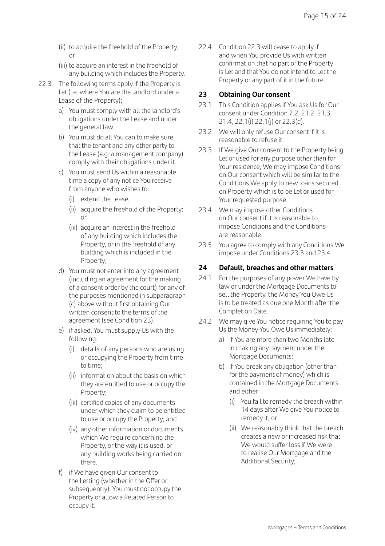- (ii) to acquire the freehold of the Property; or
- (iii) to acquire an interest in the freehold of any building which includes the Property.
- 22.3 The following terms apply if the Property is Let (i.e. where You are the landlord under a Lease of the Property);
	- a) You must comply with all the landlord's obligations under the Lease and under the general law.
	- b) You must do all You can to make sure that the tenant and any other party to the Lease (e.g. a management company) comply with their obligations under it.
	- c) You must send Us within a reasonable time a copy of any notice You receive from anyone who wishes to:
		- (i) extend the Lease;
		- (ii) acquire the freehold of the Property; or
		- (iii) acquire an interest in the freehold of any building which includes the Property, or in the freehold of any building which is included in the Property;
	- d) You must not enter into any agreement (including an agreement for the making of a consent order by the court) for any of the purposes mentioned in subparagraph (c) above without first obtaining Our written consent to the terms of the agreement (see Condition 23).
	- e) if asked, You must supply Us with the following:
		- (i) details of any persons who are using or occupying the Property from time to time;
		- (ii) information about the basis on which they are entitled to use or occupy the Property;
		- (iii) certified copies of any documents under which they claim to be entitled to use or occupy the Property; and
		- (iv) any other information or documents which We require concerning the Property, or the way it is used, or any building works being carried on there.
	- f) if We have given Our consent to the Letting (whether in the Offer or subsequently), You must not occupy the Property or allow a Related Person to occupy it.

22.4 Condition 22.3 will cease to apply if and when You provide Us with written confirmation that no part of the Property is Let and that You do not intend to Let the Property or any part of it in the future.

#### **23 Obtaining Our consent**

- 23.1 This Condition applies if You ask Us for Our consent under Condition 7.2, 21.2, 21.3, 21.4, 22.1(i) 22.1(j) or 22.3(d).
- 23.2 We will only refuse Our consent if it is reasonable to refuse it.
- 23.3 If We give Our consent to the Property being Let or used for any purpose other than for Your residence, We may impose Conditions on Our consent which will be similar to the Conditions We apply to new loans secured on Property which is to be Let or used for Your requested purpose.
- 23.4 We may impose other Conditions on Our consent if it is reasonable to impose Conditions and the Conditions are reasonable.
- 23.5 You agree to comply with any Conditions We impose under Conditions 23.3 and 23.4.

#### **24 Default, breaches and other matters**

- 24.1 For the purposes of any power We have by law or under the Mortgage Documents to sell the Property, the Money You Owe Us is to be treated as due one Month after the Completion Date.
- 24.2 We may give You notice requiring You to pay Us the Money You Owe Us immediately:
	- a) if You are more than two Months late in making any payment under the Mortgage Documents;
	- b) if You break any obligation (other than for the payment of money) which is contained in the Mortgage Documents and either:
		- (i) You fail to remedy the breach within 14 days after We give You notice to remedy it; or
		- (ii) We reasonably think that the breach creates a new or increased risk that We would suffer loss if We were to realise Our Mortgage and the Additional Security;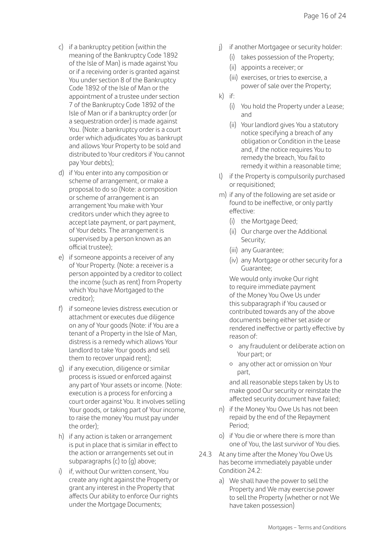- c) if a bankruptcy petition (within the meaning of the Bankruptcy Code 1892 of the Isle of Man) is made against You or if a receiving order is granted against You under section 8 of the Bankruptcy Code 1892 of the Isle of Man or the appointment of a trustee under section 7 of the Bankruptcy Code 1892 of the Isle of Man or if a bankruptcy order (or a sequestration order) is made against You. (Note: a bankruptcy order is a court order which adjudicates You as bankrupt and allows Your Property to be sold and distributed to Your creditors if You cannot pay Your debts);
- d) if You enter into any composition or scheme of arrangement, or make a proposal to do so (Note: a composition or scheme of arrangement is an arrangement You make with Your creditors under which they agree to accept late payment, or part payment, of Your debts. The arrangement is supervised by a person known as an official trustee);
- e) if someone appoints a receiver of any of Your Property. (Note: a receiver is a person appointed by a creditor to collect the income (such as rent) from Property which You have Mortgaged to the creditor);
- f) if someone levies distress execution or attachment or executes due diligence on any of Your goods (Note: if You are a tenant of a Property in the Isle of Man, distress is a remedy which allows Your landlord to take Your goods and sell them to recover unpaid rent);
- g) if any execution, diligence or similar process is issued or enforced against any part of Your assets or income. (Note: execution is a process for enforcing a court order against You. It involves selling Your goods, or taking part of Your income. to raise the money You must pay under the order);
- h) if any action is taken or arrangement is put in place that is similar in effect to the action or arrangements set out in subparagraphs (c) to (g) above;
- i) if, without Our written consent, You create any right against the Property or grant any interest in the Property that affects Our ability to enforce Our rights under the Mortgage Documents;
- j) if another Mortgagee or security holder:
	- (i) takes possession of the Property;
	- (ii) appoints a receiver; or
	- (iii) exercises, or tries to exercise, a power of sale over the Property;
- k) if:
	- (i) You hold the Property under a Lease; and
	- (ii) Your landlord gives You a statutory notice specifying a breach of any obligation or Condition in the Lease and, if the notice requires You to remedy the breach, You fail to remedy it within a reasonable time;
- l) if the Property is compulsorily purchased or requisitioned;
- m) if any of the following are set aside or found to be ineffective, or only partly effective:
	- (i) the Mortgage Deed:
	- (ii) Our charge over the Additional Security;
	- (iii) any Guarantee;
	- (iv) any Mortgage or other security for a Guarantee;

 We would only invoke Our right to require immediate payment of the Money You Owe Us under this subparagraph if You caused or contributed towards any of the above documents being either set aside or rendered ineffective or partly effective by reason of:

- { any fraudulent or deliberate action on Your part; or
- { any other act or omission on Your part,

 and all reasonable steps taken by Us to make good Our security or reinstate the affected security document have failed;

- n) if the Money You Owe Us has not been repaid by the end of the Repayment Period;
- o) if You die or where there is more than one of You, the last survivor of You dies.
- 24.3 At any time after the Money You Owe Us has become immediately payable under Condition 24.2:
	- a) We shall have the power to sell the Property and We may exercise power to sell the Property (whether or not We have taken possession)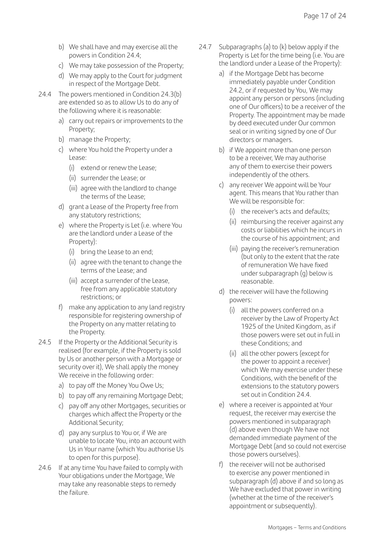- b) We shall have and may exercise all the powers in Condition 24.4;
- c) We may take possession of the Property;
- d) We may apply to the Court for judgment in respect of the Mortgage Debt.
- 24.4 The powers mentioned in Condition 24.3(b) are extended so as to allow Us to do any of the following where it is reasonable:
	- a) carry out repairs or improvements to the Property;
	- b) manage the Property;
	- c) where You hold the Property under a Lease:
		- (i) extend or renew the Lease;
		- (ii) surrender the Lease; or
		- (iii) agree with the landlord to change the terms of the Lease;
	- d) grant a Lease of the Property free from any statutory restrictions;
	- e) where the Property is Let (i.e. where You are the landlord under a Lease of the Property):
		- (i) bring the Lease to an end;
		- (ii) agree with the tenant to change the terms of the Lease; and
		- (iii) accept a surrender of the Lease, free from any applicable statutory restrictions; or
	- f) make any application to any land registry responsible for registering ownership of the Property on any matter relating to the Property.
- 24.5 If the Property or the Additional Security is realised (for example, if the Property is sold by Us or another person with a Mortgage or security over it), We shall apply the money We receive in the following order:
	- a) to pay off the Money You Owe Us;
	- b) to pay off any remaining Mortgage Debt;
	- c) pay off any other Mortgages, securities or charges which affect the Property or the Additional Security;
	- d) pay any surplus to You or, if We are unable to locate You, into an account with Us in Your name (which You authorise Us to open for this purpose).
- 24.6 If at any time You have failed to comply with Your obligations under the Mortgage, We may take any reasonable steps to remedy the failure.
- 24.7 Subparagraphs (a) to (k) below apply if the Property is Let for the time being (i.e. You are the landlord under a Lease of the Property):
	- a) if the Mortgage Debt has become immediately payable under Condition 24.2, or if requested by You, We may appoint any person or persons (including one of Our officers) to be a receiver of the Property. The appointment may be made by deed executed under Our common seal or in writing signed by one of Our directors or managers.
	- b) if We appoint more than one person to be a receiver, We may authorise any of them to exercise their powers independently of the others.
	- c) any receiver We appoint will be Your agent. This means that You rather than We will be responsible for:
		- (i) the receiver's acts and defaults;
		- (ii) reimbursing the receiver against any costs or liabilities which he incurs in the course of his appointment; and
		- (iii) paying the receiver's remuneration (but only to the extent that the rate of remuneration We have fixed under subparagraph (g) below is reasonable.
	- d) the receiver will have the following powers:
		- (i) all the powers conferred on a receiver by the Law of Property Act 1925 of the United Kingdom, as if those powers were set out in full in these Conditions; and
		- (ii) all the other powers (except for the power to appoint a receiver) which We may exercise under these Conditions, with the benefit of the extensions to the statutory powers set out in Condition 24.4.
	- e) where a receiver is appointed at Your request, the receiver may exercise the powers mentioned in subparagraph (d) above even though We have not demanded immediate payment of the Mortgage Debt (and so could not exercise those powers ourselves).
	- f) the receiver will not be authorised to exercise any power mentioned in subparagraph (d) above if and so long as We have excluded that power in writing (whether at the time of the receiver's appointment or subsequently).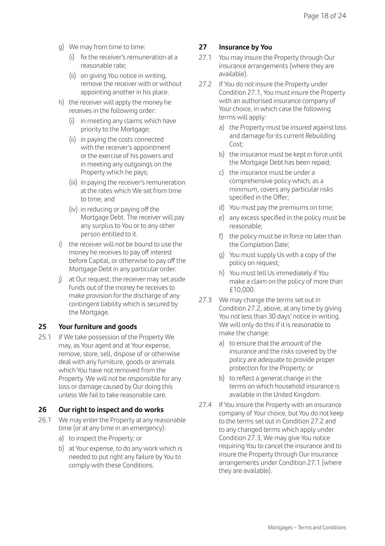- g) We may from time to time:
	- (i) fix the receiver's remuneration at a reasonable rate;
	- (ii) on giving You notice in writing, remove the receiver with or without appointing another in his place.
- h) the receiver will apply the money he receives in the following order:
	- (i) in meeting any claims which have priority to the Mortgage;
	- (ii) in paying the costs connected with the receiver's appointment or the exercise of his powers and in meeting any outgoings on the Property which he pays;
	- (iii) in paying the receiver's remuneration at the rates which We set from time to time; and
	- (iv) in reducing or paying off the Mortgage Debt. The receiver will pay any surplus to You or to any other person entitled to it.
- i) the receiver will not be bound to use the money he receives to pay off interest before Capital, or otherwise to pay off the Mortgage Debt in any particular order.
- j) at Our request, the receiver may set aside funds out of the money he receives to make provision for the discharge of any contingent liability which is secured by the Mortgage.

#### **25 Your furniture and goods**

25.1 If We take possession of the Property We may, as Your agent and at Your expense, remove, store, sell, dispose of or otherwise deal with any furniture, goods or animals which You have not removed from the Property. We will not be responsible for any loss or damage caused by Our doing this unless We fail to take reasonable care.

#### **26 Our right to inspect and do works**

- 26.1 We may enter the Property at any reasonable time (or at any time in an emergency):
	- a) to inspect the Property; or
	- b) at Your expense, to do any work which is needed to put right any failure by You to comply with these Conditions.

#### **27 Insurance by You**

- 27.1 You may insure the Property through Our insurance arrangements (where they are available).
- 27.2 If You do not insure the Property under Condition 27.1, You must insure the Property with an authorised insurance company of Your choice, in which case the following terms will apply:
	- a) the Property must be insured against loss and damage for its current Rebuilding Cost;
	- b) the insurance must be kept in force until the Mortgage Debt has been repaid;
	- c) the insurance must be under a comprehensive policy which, as a minimum, covers any particular risks specified in the Offer;
	- d) You must pay the premiums on time;
	- e) any excess specified in the policy must be reasonable;
	- f) the policy must be in force no later than the Completion Date;
	- g) You must supply Us with a copy of the policy on request;
	- h) You must tell Us immediately if You make a claim on the policy of more than £10,000.
- 27.3 We may change the terms set out in Condition 27.2, above, at any time by giving You not less than 30 days' notice in writing. We will only do this if it is reasonable to make the change:
	- a) to ensure that the amount of the insurance and the risks covered by the policy are adequate to provide proper protection for the Property; or
	- b) to reflect a general change in the terms on which household insurance is available in the United Kingdom.
- 27.4 If You insure the Property with an insurance company of Your choice, but You do not keep to the terms set out in Condition 27.2 and to any changed terms which apply under Condition 27.3, We may give You notice requiring You to cancel the insurance and to insure the Property through Our insurance arrangements under Condition 27.1 (where they are available).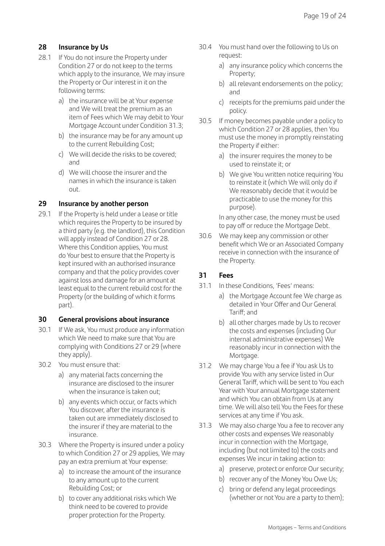#### **28 Insurance by Us**

- 28.1 If You do not insure the Property under Condition 27 or do not keep to the terms which apply to the insurance, We may insure the Property or Our interest in it on the following terms:
	- a) the insurance will be at Your expense and We will treat the premium as an item of Fees which We may debit to Your Mortgage Account under Condition 31.3;
	- b) the insurance may be for any amount up to the current Rebuilding Cost;
	- c) We will decide the risks to be covered; and
	- d) We will choose the insurer and the names in which the insurance is taken out.

#### **29 Insurance by another person**

29.1 If the Property is held under a Lease or title which requires the Property to be insured by a third party (e.g. the landlord), this Condition will apply instead of Condition 27 or 28. Where this Condition applies, You must do Your best to ensure that the Property is kept insured with an authorised insurance company and that the policy provides cover against loss and damage for an amount at least equal to the current rebuild cost for the Property (or the building of which it forms part).

#### **30 General provisions about insurance**

- 30.1 If We ask, You must produce any information which We need to make sure that You are complying with Conditions 27 or 29 (where they apply).
- 30.2 You must ensure that:
	- a) any material facts concerning the insurance are disclosed to the insurer when the insurance is taken out;
	- b) any events which occur, or facts which You discover, after the insurance is taken out are immediately disclosed to the insurer if they are material to the insurance.
- 30.3 Where the Property is insured under a policy to which Condition 27 or 29 applies, We may pay an extra premium at Your expense:
	- a) to increase the amount of the insurance to any amount up to the current Rebuilding Cost; or
	- b) to cover any additional risks which We think need to be covered to provide proper protection for the Property.
- 30.4 You must hand over the following to Us on request:
	- a) any insurance policy which concerns the Property;
	- b) all relevant endorsements on the policy; and
	- c) receipts for the premiums paid under the policy.
- 30.5 If money becomes payable under a policy to which Condition 27 or 28 applies, then You must use the money in promptly reinstating the Property if either:
	- a) the insurer requires the money to be used to reinstate it; or
	- b) We give You written notice requiring You to reinstate it (which We will only do if We reasonably decide that it would be practicable to use the money for this purpose).

 In any other case, the money must be used to pay off or reduce the Mortgage Debt.

30.6 We may keep any commission or other benefit which We or an Associated Company receive in connection with the insurance of the Property.

#### **31 Fees**

- 31.1 In these Conditions, 'Fees' means:
	- a) the Mortgage Account fee We charge as detailed in Your Offer and Our General Tariff; and
	- b) all other charges made by Us to recover the costs and expenses (including Our internal administrative expenses) We reasonably incur in connection with the Mortgage.
- 31.2 We may charge You a fee if You ask Us to provide You with any service listed in Our General Tariff, which will be sent to You each Year with Your annual Mortgage statement and which You can obtain from Us at any time. We will also tell You the Fees for these services at any time if You ask.
- 31.3 We may also charge You a fee to recover any other costs and expenses We reasonably incur in connection with the Mortgage. including (but not limited to) the costs and expenses We incur in taking action to:
	- a) preserve, protect or enforce Our security;
	- b) recover any of the Money You Owe Us;
	- c) bring or defend any legal proceedings (whether or not You are a party to them);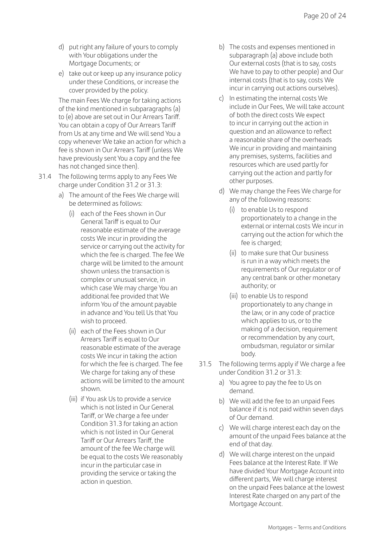- d) put right any failure of yours to comply with Your obligations under the Mortgage Documents; or
- e) take out or keep up any insurance policy under these Conditions, or increase the cover provided by the policy.

 The main Fees We charge for taking actions of the kind mentioned in subparagraphs (a) to (e) above are set out in Our Arrears Tariff. You can obtain a copy of Our Arrears Tariff from Us at any time and We will send You a copy whenever We take an action for which a fee is shown in Our Arrears Tariff (unless We have previously sent You a copy and the fee has not changed since then).

- 31.4 The following terms apply to any Fees We charge under Condition 31.2 or 31.3:
	- a) The amount of the Fees We charge will be determined as follows:
		- (i) each of the Fees shown in Our General Tariff is equal to Our reasonable estimate of the average costs We incur in providing the service or carrying out the activity for which the fee is charged. The fee We charge will be limited to the amount shown unless the transaction is complex or unusual service, in which case We may charge You an additional fee provided that We inform You of the amount payable in advance and You tell Us that You wish to proceed.
		- (ii) each of the Fees shown in Our Arrears Tariff is equal to Our reasonable estimate of the average costs We incur in taking the action for which the fee is charged. The fee We charge for taking any of these actions will be limited to the amount shown.
		- (iii) if You ask Us to provide a service which is not listed in Our General Tariff, or We charge a fee under Condition 31.3 for taking an action which is not listed in Our General Tariff or Our Arrears Tariff, the amount of the fee We charge will be equal to the costs We reasonably incur in the particular case in providing the service or taking the action in question.
- b) The costs and expenses mentioned in subparagraph (a) above include both Our external costs (that is to say, costs We have to pay to other people) and Our internal costs (that is to say, costs We incur in carrying out actions ourselves).
- c) In estimating the internal costs We include in Our Fees, We will take account of both the direct costs We expect to incur in carrying out the action in question and an allowance to reflect a reasonable share of the overheads We incur in providing and maintaining any premises, systems, facilities and resources which are used partly for carrying out the action and partly for other purposes.
- d) We may change the Fees We charge for any of the following reasons:
	- (i) to enable Us to respond proportionately to a change in the external or internal costs We incur in carrying out the action for which the fee is charged;
	- (ii) to make sure that Our business is run in a way which meets the requirements of Our regulator or of any central bank or other monetary authority; or
	- (iii) to enable Us to respond proportionately to any change in the law, or in any code of practice which applies to us, or to the making of a decision, requirement or recommendation by any court, ombudsman, regulator or similar body.
- 31.5 The following terms apply if We charge a fee under Condition 31.2 or 31.3:
	- a) You agree to pay the fee to Us on demand.
	- b) We will add the fee to an unpaid Fees balance if it is not paid within seven days of Our demand.
	- c) We will charge interest each day on the amount of the unpaid Fees balance at the end of that day.
	- d) We will charge interest on the unpaid Fees balance at the Interest Rate. If We have divided Your Mortgage Account into different parts, We will charge interest on the unpaid Fees balance at the lowest Interest Rate charged on any part of the Mortgage Account.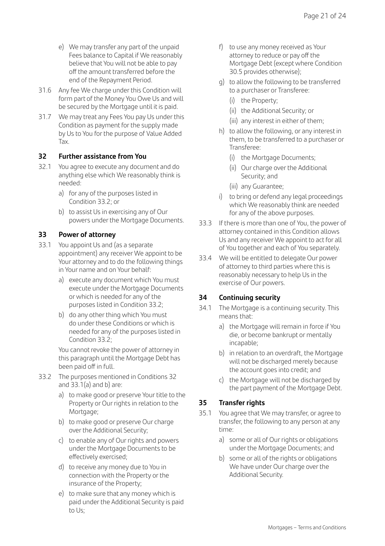- e) We may transfer any part of the unpaid Fees balance to Capital if We reasonably believe that You will not be able to pay off the amount transferred before the end of the Repayment Period.
- 31.6 Any fee We charge under this Condition will form part of the Money You Owe Us and will be secured by the Mortgage until it is paid.
- 31.7 We may treat any Fees You pay Us under this Condition as payment for the supply made by Us to You for the purpose of Value Added Tax.

#### **32 Further assistance from You**

- 32.1 You agree to execute any document and do anything else which We reasonably think is needed:
	- a) for any of the purposes listed in Condition 33.2; or
	- b) to assist Us in exercising any of Our powers under the Mortgage Documents.

#### **33 Power of attorney**

- 33.1 You appoint Us and (as a separate appointment) any receiver We appoint to be Your attorney and to do the following things in Your name and on Your behalf:
	- a) execute any document which You must execute under the Mortgage Documents or which is needed for any of the purposes listed in Condition 33.2;
	- b) do any other thing which You must do under these Conditions or which is needed for any of the purposes listed in Condition  $33.2$ ;

 You cannot revoke the power of attorney in this paragraph until the Mortgage Debt has been paid off in full.

- 33.2 The purposes mentioned in Conditions 32 and 33.1(a) and b) are:
	- a) to make good or preserve Your title to the Property or Our rights in relation to the Mortgage;
	- b) to make good or preserve Our charge over the Additional Security;
	- c) to enable any of Our rights and powers under the Mortgage Documents to be effectively exercised;
	- d) to receive any money due to You in connection with the Property or the insurance of the Property;
	- e) to make sure that any money which is paid under the Additional Security is paid to Us;
- f) to use any money received as Your attorney to reduce or pay off the Mortgage Debt (except where Condition 30.5 provides otherwise);
- g) to allow the following to be transferred to a purchaser or Transferee:
	- (i) the Property;
	- (ii) the Additional Security; or
	- (iii) any interest in either of them;
- h) to allow the following, or any interest in them, to be transferred to a purchaser or Transferee:
	- (i) the Mortgage Documents;
	- (ii) Our charge over the Additional Security; and
	- (iii) any Guarantee;
- i) to bring or defend any legal proceedings which We reasonably think are needed for any of the above purposes.
- 33.3 If there is more than one of You, the power of attorney contained in this Condition allows Us and any receiver We appoint to act for all of You together and each of You separately.
- 33.4 We will be entitled to delegate Our power of attorney to third parties where this is reasonably necessary to help Us in the exercise of Our powers.

#### **34 Continuing security**

- 34.1 The Mortgage is a continuing security. This means that:
	- a) the Mortgage will remain in force if You die, or become bankrupt or mentally incapable;
	- b) in relation to an overdraft, the Mortgage will not be discharged merely because the account goes into credit; and
	- c) the Mortgage will not be discharged by the part payment of the Mortgage Debt.

#### **35 Transfer rights**

- 35.1 You agree that We may transfer, or agree to transfer, the following to any person at any time:
	- a) some or all of Our rights or obligations under the Mortgage Documents; and
	- b) some or all of the rights or obligations We have under Our charge over the Additional Security.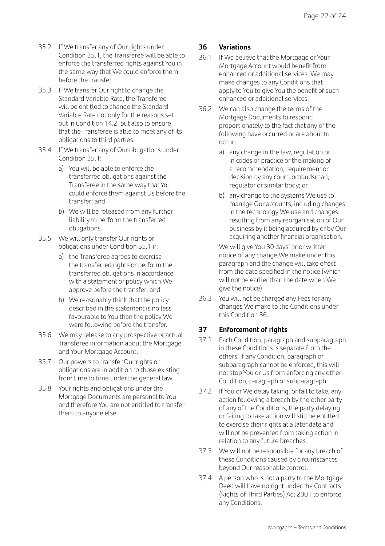- 35.2 If We transfer any of Our rights under Condition 35.1, the Transferee will be able to enforce the transferred rights against You in the same way that We could enforce them before the transfer.
- 35.3 If We transfer Our right to change the Standard Variable Rate, the Transferee will be entitled to change the Standard Variable Rate not only for the reasons set out in Condition 14.2, but also to ensure that the Transferee is able to meet any of its obligations to third parties.
- 35.4 If We transfer any of Our obligations under Condition 35.1:
	- a) You will be able to enforce the transferred obligations against the Transferee in the same way that You could enforce them against Us before the transfer; and
	- b) We will be released from any further liability to perform the transferred obligations.
- 35.5 We will only transfer Our rights or obligations under Condition 35.1 if:
	- a) the Transferee agrees to exercise the transferred rights or perform the transferred obligations in accordance with a statement of policy which We approve before the transfer; and
	- b) We reasonably think that the policy described in the statement is no less favourable to You than the policy We were following before the transfer.
- 35.6 We may release to any prospective or actual Transferee information about the Mortgage and Your Mortgage Account.
- 35.7 Our powers to transfer Our rights or obligations are in addition to those existing from time to time under the general law.
- 35.8 Your rights and obligations under the Mortgage Documents are personal to You and therefore You are not entitled to transfer them to anyone else.

#### **36 Variations**

- 36.1 If We believe that the Mortgage or Your Mortgage Account would benefit from enhanced or additional services, We may make changes to any Conditions that apply to You to give You the benefit of such enhanced or additional services.
- 36.2 We can also change the terms of the Mortgage Documents to respond proportionately to the fact that any of the following have occurred or are about to occur:
	- a) any change in the law, regulation or in codes of practice or the making of a recommendation, requirement or decision by any court, ombudsman, regulator or similar body; or
	- b) any change to the systems We use to manage Our accounts, including changes in the technology We use and changes resulting from any reorganisation of Our business by it being acquired by or by Our acquiring another financial organisation.

We will give You 30 days' prior written notice of any change We make under this paragraph and the change will take effect from the date specified in the notice (which will not be earlier than the date when We give the notice).

36.3 You will not be charged any Fees for any changes We make to the Conditions under this Condition 36.

#### **37 Enforcement of rights**

- 37.1 Each Condition, paragraph and subparagraph in these Conditions is separate from the others. If any Condition, paragraph or subparagraph cannot be enforced, this will not stop You or Us from enforcing any other Condition, paragraph or subparagraph.
- 37.2 If You or We delay taking, or fail to take, any action following a breach by the other party of any of the Conditions, the party delaying or failing to take action will still be entitled to exercise their rights at a later date and will not be prevented from taking action in relation to any future breaches.
- 37.3 We will not be responsible for any breach of these Conditions caused by circumstances beyond Our reasonable control.
- 37.4 A person who is not a party to the Mortgage Deed will have no right under the Contracts (Rights of Third Parties) Act 2001 to enforce any Conditions.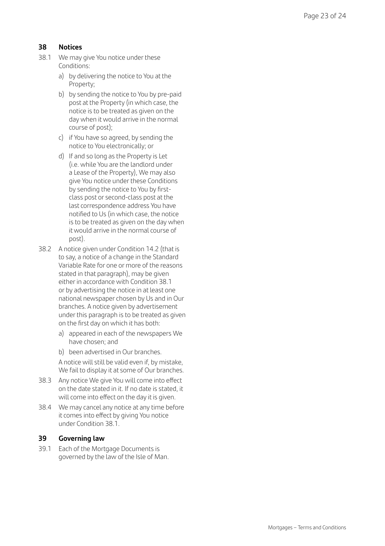#### **38 Notices**

- 38.1 We may give You notice under these Conditions:
	- a) by delivering the notice to You at the Property;
	- b) by sending the notice to You by pre-paid post at the Property (in which case, the notice is to be treated as given on the day when it would arrive in the normal course of post);
	- c) if You have so agreed, by sending the notice to You electronically; or
	- d) If and so long as the Property is Let (i.e. while You are the landlord under a Lease of the Property), We may also give You notice under these Conditions by sending the notice to You by firstclass post or second-class post at the last correspondence address You have notified to Us (in which case, the notice is to be treated as given on the day when it would arrive in the normal course of post).
- 38.2 A notice given under Condition 14.2 (that is to say, a notice of a change in the Standard Variable Rate for one or more of the reasons stated in that paragraph), may be given either in accordance with Condition 38.1 or by advertising the notice in at least one national newspaper chosen by Us and in Our branches. A notice given by advertisement under this paragraph is to be treated as given on the first day on which it has both:
	- a) appeared in each of the newspapers We have chosen; and
	- b) been advertised in Our branches.
	- A notice will still be valid even if, by mistake, We fail to display it at some of Our branches.
- 38.3 Any notice We give You will come into effect on the date stated in it. If no date is stated, it will come into effect on the day it is given.
- 38.4 We may cancel any notice at any time before it comes into effect by giving You notice under Condition 38.1.

#### **39 Governing law**

39.1 Each of the Mortgage Documents is governed by the law of the Isle of Man.